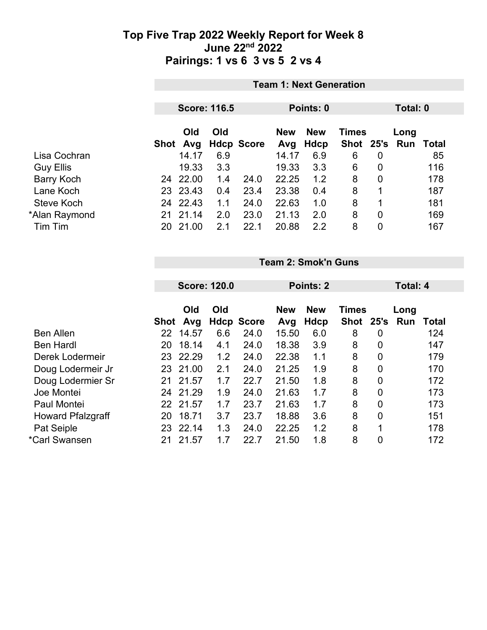|                   |    | <b>Team 1: Next Generation</b> |     |                   |                   |                    |              |   |                             |     |
|-------------------|----|--------------------------------|-----|-------------------|-------------------|--------------------|--------------|---|-----------------------------|-----|
|                   |    | <b>Score: 116.5</b>            |     |                   |                   | Points: 0          | Total: 0     |   |                             |     |
|                   |    | Old<br>Shot Avg                | Old | <b>Hdcp Score</b> | <b>New</b><br>Avg | <b>New</b><br>Hdcp | <b>Times</b> |   | Long<br>Shot 25's Run Total |     |
| Lisa Cochran      |    | 14.17                          | 6.9 |                   | 14.17             | 6.9                | 6            | 0 |                             | 85  |
| <b>Guy Ellis</b>  |    | 19.33                          | 3.3 |                   | 19.33             | 3.3                | 6            | 0 |                             | 116 |
| <b>Barry Koch</b> |    | 24 22.00                       | 1.4 | 24.0              | 22.25             | 1.2                | 8            | 0 |                             | 178 |
| Lane Koch         |    | 23 23.43                       | 0.4 | 23.4              | 23.38             | 0.4                | 8            | 1 |                             | 187 |
| Steve Koch        |    | 24 22.43                       | 1.1 | 24.0              | 22.63             | 1.0                | 8            | 1 |                             | 181 |
| *Alan Raymond     | 21 | 21.14                          | 2.0 | 23.0              | 21.13             | 2.0                | 8            | 0 |                             | 169 |
| Tim Tim           | 20 | 21.00                          | 2.1 | 22.1              | 20.88             | 2.2                | 8            | 0 |                             | 167 |

**Team 2: Smok'n Guns**

| <b>Score: 120.0</b> |       |                                                    | Points: 2 |                   |            |              | Total: 4 |                    |              |
|---------------------|-------|----------------------------------------------------|-----------|-------------------|------------|--------------|----------|--------------------|--------------|
|                     | Old   | Old                                                |           | <b>New</b>        | <b>New</b> | <b>Times</b> |          | Long<br><b>Run</b> | <b>Total</b> |
| 22                  | 14.57 | 6.6                                                | 24.0      | 15.50             | 6.0        | 8            | 0        |                    | 124          |
| 20                  | 18.14 | 4.1                                                | 24.0      | 18.38             | 3.9        | 8            | 0        |                    | 147          |
| 23                  | 22.29 | 1.2                                                | 24.0      | 22.38             | 1.1        | 8            | 0        |                    | 179          |
| 23                  |       | 2.1                                                | 24.0      | 21.25             | 1.9        | 8            | 0        |                    | 170          |
| 21                  |       | 1.7                                                | 22.7      | 21.50             | 1.8        | 8            | 0        |                    | 172          |
| 24                  |       | 1.9                                                | 24.0      | 21.63             | 1.7        | 8            | 0        |                    | 173          |
|                     |       | 1.7                                                | 23.7      | 21.63             | 1.7        | 8            | 0        |                    | 173          |
| 20                  | 18.71 | 3.7                                                | 23.7      | 18.88             | 3.6        | 8            | 0        |                    | 151          |
| 23                  | 22.14 | 1.3                                                | 24.0      | 22.25             | 1.2        | 8            | 1        |                    | 178          |
| 21                  | 21.57 | 1.7                                                | 22.7      | 21.50             | 1.8        | 8            | 0        |                    | 172          |
|                     |       | Avg<br>Shot<br>21.00<br>21.57<br>21.29<br>22 21.57 |           | <b>Hdcp Score</b> | Avg        | Hdcp         |          | Shot 25's          |              |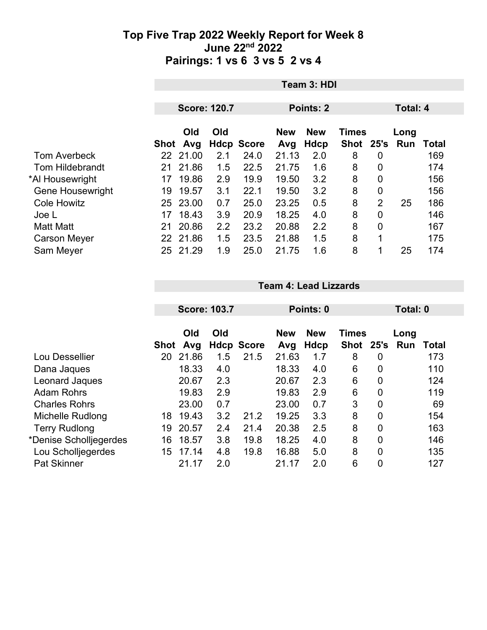|                         |      | Team 3: HDI         |     |                   |            |                  |              |                |          |       |  |
|-------------------------|------|---------------------|-----|-------------------|------------|------------------|--------------|----------------|----------|-------|--|
|                         |      |                     |     |                   |            |                  |              |                |          |       |  |
|                         |      | <b>Score: 120.7</b> |     |                   |            | <b>Points: 2</b> |              |                | Total: 4 |       |  |
|                         |      | Old                 | Old |                   | <b>New</b> | <b>New</b>       | <b>Times</b> |                | Long     |       |  |
|                         | Shot | Avg                 |     | <b>Hdcp Score</b> | Avg        | Hdcp             | Shot         | 25's           | Run      | Total |  |
| <b>Tom Averbeck</b>     |      | 22 21.00            | 2.1 | 24.0              | 21.13      | 2.0              | 8            | $\overline{0}$ |          | 169   |  |
| <b>Tom Hildebrandt</b>  |      | 21 21.86            | 1.5 | 22.5              | 21.75      | 1.6              | 8            | $\overline{0}$ |          | 174   |  |
| *Al Housewright         | 17   | 19.86               | 2.9 | 19.9              | 19.50      | 3.2              | 8            | $\overline{0}$ |          | 156   |  |
| <b>Gene Housewright</b> | 19   | 19.57               | 3.1 | 22.1              | 19.50      | 3.2              | 8            | $\overline{0}$ |          | 156   |  |
| <b>Cole Howitz</b>      |      | 25 23.00            | 0.7 | 25.0              | 23.25      | 0.5              | 8            | $\overline{2}$ | 25       | 186   |  |
| Joe L                   | 17   | 18.43               | 3.9 | 20.9              | 18.25      | 4.0              | 8            | 0              |          | 146   |  |
| <b>Matt Matt</b>        | 21   | 20.86               | 2.2 | 23.2              | 20.88      | 2.2              | 8            | $\overline{0}$ |          | 167   |  |
| <b>Carson Meyer</b>     |      | 22 21.86            | 1.5 | 23.5              | 21.88      | 1.5              | 8            |                |          | 175   |  |
| Sam Meyer               | 25   | 21.29               | 1.9 | 25.0              | 21.75      | 1.6              | 8            |                | 25       | 174   |  |

|                        |      | <b>Score: 103.7</b> |     |                   | Points: 0  |             |              |      | Total: 0 |       |  |
|------------------------|------|---------------------|-----|-------------------|------------|-------------|--------------|------|----------|-------|--|
|                        |      |                     |     |                   |            |             |              |      |          |       |  |
|                        |      | Old                 | Old |                   | <b>New</b> | <b>New</b>  | <b>Times</b> |      | Long     |       |  |
|                        | Shot | Avg                 |     | <b>Hdcp Score</b> | Avg        | <b>Hdcp</b> | <b>Shot</b>  | 25's | Run      | Total |  |
| Lou Dessellier         | 20   | 21.86               | 1.5 | 21.5              | 21.63      | 1.7         | 8            | 0    |          | 173   |  |
| Dana Jaques            |      | 18.33               | 4.0 |                   | 18.33      | 4.0         | 6            | 0    |          | 110   |  |
| Leonard Jaques         |      | 20.67               | 2.3 |                   | 20.67      | 2.3         | 6            | 0    |          | 124   |  |
| <b>Adam Rohrs</b>      |      | 19.83               | 2.9 |                   | 19.83      | 2.9         | 6            | 0    |          | 119   |  |
| <b>Charles Rohrs</b>   |      | 23.00               | 0.7 |                   | 23.00      | 0.7         | 3            | 0    |          | 69    |  |
| Michelle Rudlong       | 18   | 19.43               | 3.2 | 21.2              | 19.25      | 3.3         | 8            | 0    |          | 154   |  |
| <b>Terry Rudlong</b>   | 19   | 20.57               | 2.4 | 21.4              | 20.38      | 2.5         | 8            | 0    |          | 163   |  |
| *Denise Scholljegerdes | 16   | 18.57               | 3.8 | 19.8              | 18.25      | 4.0         | 8            | 0    |          | 146   |  |
| Lou Scholljegerdes     | 15   | 17.14               | 4.8 | 19.8              | 16.88      | 5.0         | 8            | 0    |          | 135   |  |
| Pat Skinner            |      | 21.17               | 2.0 |                   | 21.17      | 2.0         | 6            | 0    |          | 127   |  |

**Team 4: Lead Lizzards**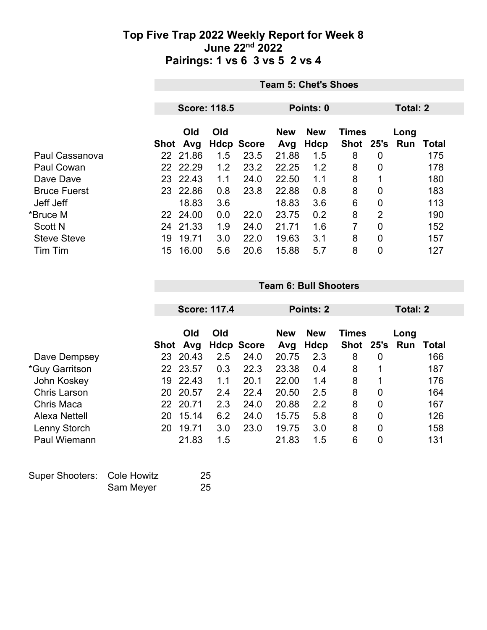|                     | <b>Team 5: Chet's Shoes</b> |                     |     |                   |            |            |              |      |          |       |  |
|---------------------|-----------------------------|---------------------|-----|-------------------|------------|------------|--------------|------|----------|-------|--|
|                     |                             |                     |     |                   |            |            |              |      |          |       |  |
|                     |                             | <b>Score: 118.5</b> |     |                   |            | Points: 0  |              |      | Total: 2 |       |  |
|                     |                             | Old                 | Old |                   | <b>New</b> | <b>New</b> | <b>Times</b> |      | Long     |       |  |
|                     | Shot                        | Avg                 |     | <b>Hdcp Score</b> | Avg        | Hdcp       | <b>Shot</b>  | 25's | Run      | Total |  |
| Paul Cassanova      |                             | 22 21.86            | 1.5 | 23.5              | 21.88      | 1.5        | 8            | 0    |          | 175   |  |
| Paul Cowan          |                             | 22 22.29            | 1.2 | 23.2              | 22.25      | 1.2        | 8            | 0    |          | 178   |  |
| Dave Dave           |                             | 23 22.43            | 1.1 | 24.0              | 22.50      | 1.1        | 8            | 1    |          | 180   |  |
| <b>Bruce Fuerst</b> | 23                          | 22.86               | 0.8 | 23.8              | 22.88      | 0.8        | 8            | 0    |          | 183   |  |
| Jeff Jeff           |                             | 18.83               | 3.6 |                   | 18.83      | 3.6        | 6            | 0    |          | 113   |  |
| *Bruce M            |                             | 22 24.00            | 0.0 | 22.0              | 23.75      | 0.2        | 8            | 2    |          | 190   |  |
| <b>Scott N</b>      | 24                          | 21.33               | 1.9 | 24.0              | 21.71      | 1.6        | 7            | 0    |          | 152   |  |
| <b>Steve Steve</b>  | 19                          | 19.71               | 3.0 | 22.0              | 19.63      | 3.1        | 8            | 0    |          | 157   |  |
| Tim Tim             | 15                          | 16.00               | 5.6 | 20.6              | 15.88      | 5.7        | 8            | 0    |          | 127   |  |

|                       |      | <b>Score: 117.4</b> |     |                   | Points: 2         |                           |              |                | Total: 2              |       |  |
|-----------------------|------|---------------------|-----|-------------------|-------------------|---------------------------|--------------|----------------|-----------------------|-------|--|
|                       | Shot | Old<br>Avg          | Old | <b>Hdcp Score</b> | <b>New</b><br>Avg | <b>New</b><br><b>Hdcp</b> | <b>Times</b> |                | Long<br>Shot 25's Run | Total |  |
| Dave Dempsey          | 23   | 20.43               | 2.5 | 24.0              | 20.75             | 2.3                       | 8            | 0              |                       | 166   |  |
| <i>*Guy Garritson</i> |      | 22 23.57            | 0.3 | 22.3              | 23.38             | 0.4                       | 8            | 1              |                       | 187   |  |
| John Koskey           | 19   | 22.43               | 1.1 | 20.1              | 22.00             | 1.4                       | 8            | 1              |                       | 176   |  |
| <b>Chris Larson</b>   | 20   | 20.57               | 2.4 | 22.4              | 20.50             | 2.5                       | 8            | $\mathbf 0$    |                       | 164   |  |
| Chris Maca            | 22.  | 20.71               | 2.3 | 24.0              | 20.88             | 2.2                       | 8            | $\overline{0}$ |                       | 167   |  |
| Alexa Nettell         | 20   | 15.14               | 6.2 | 24.0              | 15.75             | 5.8                       | 8            | $\overline{0}$ |                       | 126   |  |
| Lenny Storch          | 20   | 19.71               | 3.0 | 23.0              | 19.75             | 3.0                       | 8            | $\mathbf 0$    |                       | 158   |  |
| <b>Paul Wiemann</b>   |      | 21.83               | 1.5 |                   | 21.83             | 1.5                       | 6            | $\overline{0}$ |                       | 131   |  |
|                       |      |                     |     |                   |                   |                           |              |                |                       |       |  |

**Team 6: Bull Shooters**

| Super Shooters: Cole Howitz |           | 25 |
|-----------------------------|-----------|----|
|                             | Sam Meyer | 25 |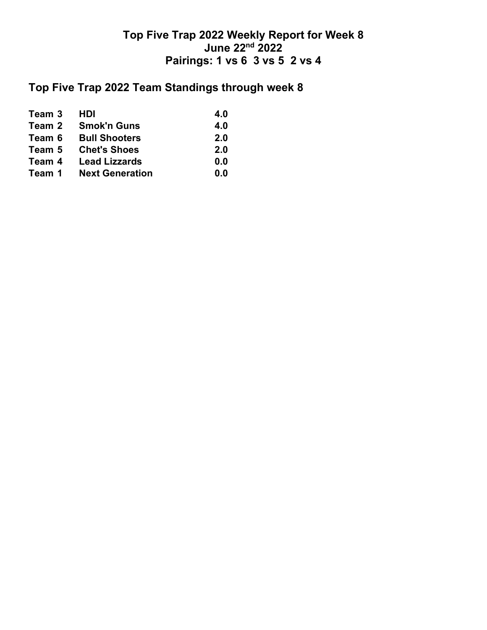# **Top Five Trap 2022 Team Standings through week 8**

| Team 3 | <b>HDI</b>             | 4.0 |
|--------|------------------------|-----|
| Team 2 | <b>Smok'n Guns</b>     | 4.0 |
| Team 6 | <b>Bull Shooters</b>   | 2.0 |
| Team 5 | <b>Chet's Shoes</b>    | 2.0 |
| Team 4 | <b>Lead Lizzards</b>   | 0.0 |
| Team 1 | <b>Next Generation</b> | 0.0 |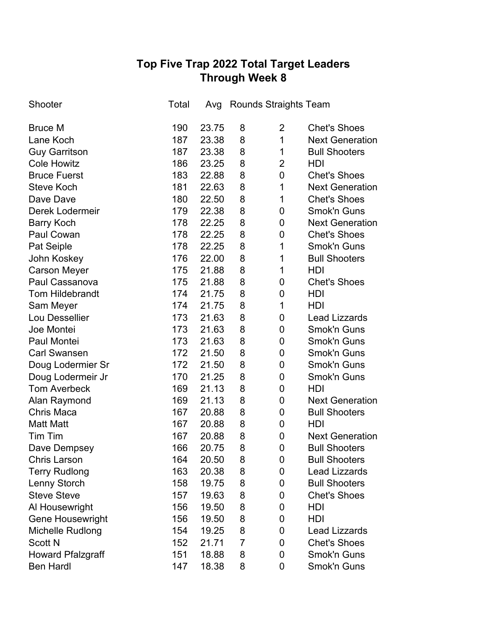## **Top Five Trap 2022 Total Target Leaders Through Week 8**

| Shooter                  | Total | Avg   |                | <b>Rounds Straights Team</b> |                        |
|--------------------------|-------|-------|----------------|------------------------------|------------------------|
| <b>Bruce M</b>           | 190   | 23.75 | 8              | 2                            | <b>Chet's Shoes</b>    |
| Lane Koch                | 187   | 23.38 | 8              | 1                            | <b>Next Generation</b> |
| <b>Guy Garritson</b>     | 187   | 23.38 | 8              | 1                            | <b>Bull Shooters</b>   |
| <b>Cole Howitz</b>       | 186   | 23.25 | 8              | $\overline{2}$               | HDI                    |
| <b>Bruce Fuerst</b>      | 183   | 22.88 | 8              | $\mathbf 0$                  | <b>Chet's Shoes</b>    |
| <b>Steve Koch</b>        | 181   | 22.63 | 8              | 1                            | <b>Next Generation</b> |
| Dave Dave                | 180   | 22.50 | 8              | 1                            | <b>Chet's Shoes</b>    |
| Derek Lodermeir          | 179   | 22.38 | 8              | 0                            | <b>Smok'n Guns</b>     |
| <b>Barry Koch</b>        | 178   | 22.25 | 8              | 0                            | <b>Next Generation</b> |
| Paul Cowan               | 178   | 22.25 | 8              | 0                            | <b>Chet's Shoes</b>    |
| Pat Seiple               | 178   | 22.25 | 8              | 1                            | <b>Smok'n Guns</b>     |
| John Koskey              | 176   | 22.00 | 8              | 1                            | <b>Bull Shooters</b>   |
| <b>Carson Meyer</b>      | 175   | 21.88 | 8              | 1                            | <b>HDI</b>             |
| Paul Cassanova           | 175   | 21.88 | 8              | 0                            | <b>Chet's Shoes</b>    |
| <b>Tom Hildebrandt</b>   | 174   | 21.75 | 8              | 0                            | HDI                    |
| Sam Meyer                | 174   | 21.75 | 8              | 1                            | HDI                    |
| Lou Dessellier           | 173   | 21.63 | 8              | 0                            | <b>Lead Lizzards</b>   |
| Joe Montei               | 173   | 21.63 | 8              | 0                            | <b>Smok'n Guns</b>     |
| Paul Montei              | 173   | 21.63 | 8              | 0                            | <b>Smok'n Guns</b>     |
| <b>Carl Swansen</b>      | 172   | 21.50 | 8              | 0                            | <b>Smok'n Guns</b>     |
| Doug Lodermier Sr        | 172   | 21.50 | 8              | 0                            | Smok'n Guns            |
| Doug Lodermeir Jr        | 170   | 21.25 | 8              | 0                            | Smok'n Guns            |
| <b>Tom Averbeck</b>      | 169   | 21.13 | 8              | 0                            | <b>HDI</b>             |
| Alan Raymond             | 169   | 21.13 | 8              | 0                            | <b>Next Generation</b> |
| <b>Chris Maca</b>        | 167   | 20.88 | 8              | $\mathbf 0$                  | <b>Bull Shooters</b>   |
| <b>Matt Matt</b>         | 167   | 20.88 | 8              | $\mathbf 0$                  | HDI                    |
| Tim Tim                  | 167   | 20.88 | 8              | $\mathbf 0$                  | <b>Next Generation</b> |
| Dave Dempsey             | 166   | 20.75 | 8              | 0                            | <b>Bull Shooters</b>   |
| <b>Chris Larson</b>      | 164   | 20.50 | 8              | 0                            | <b>Bull Shooters</b>   |
| <b>Terry Rudlong</b>     | 163   | 20.38 | 8              | 0                            | <b>Lead Lizzards</b>   |
| Lenny Storch             | 158   | 19.75 | 8              | 0                            | <b>Bull Shooters</b>   |
| <b>Steve Steve</b>       | 157   | 19.63 | 8              | 0                            | <b>Chet's Shoes</b>    |
| Al Housewright           | 156   | 19.50 | 8              | 0                            | HDI                    |
| <b>Gene Housewright</b>  | 156   | 19.50 | 8              | 0                            | HDI                    |
| Michelle Rudlong         | 154   | 19.25 | 8              | 0                            | <b>Lead Lizzards</b>   |
| <b>Scott N</b>           | 152   | 21.71 | $\overline{7}$ | 0                            | <b>Chet's Shoes</b>    |
| <b>Howard Pfalzgraff</b> | 151   | 18.88 | 8              | 0                            | Smok'n Guns            |
| <b>Ben Hardl</b>         | 147   | 18.38 | 8              | 0                            | Smok'n Guns            |